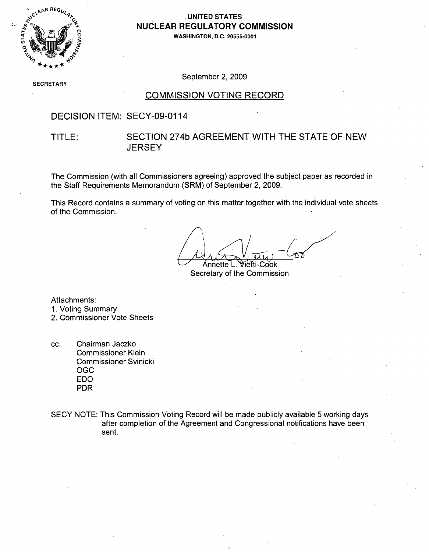

#### **1,.\** .**UNITED STATES** NUCLEAR REGULATORY COMMISSION

**WASHINGTON, D.C. 20555-0001**

SECRETARY

September 2, 2009

#### COMMISSION VOTING RECORD

### DECISION ITEM: SECY-09-0114

#### TITLE: SECTION 274b AGREEMENT WITH THE STATE OF NEW **JERSEY**

The Commission (with all Commissioners agreeing) approved the subject paper as recorded in the Staff Requirements Memorandum (SRM) of September 2, 2009.

This Record contains a summary of voting on this matter together with the individual vote sheets of the Commission.

Annette L. Vietti-Cook Secretary of the Commission

Attachments:

- 1. Voting Summary
- 2. Commissioner Vote Sheets
- cc: Chairman Jaczko Commissioner Klein Commissioner Svinicki OGC EDO PDR
- SECY NOTE: This Commission Voting Record will be made publicly available 5 working days after completion of the Agreement and Congressional notifications have been sent.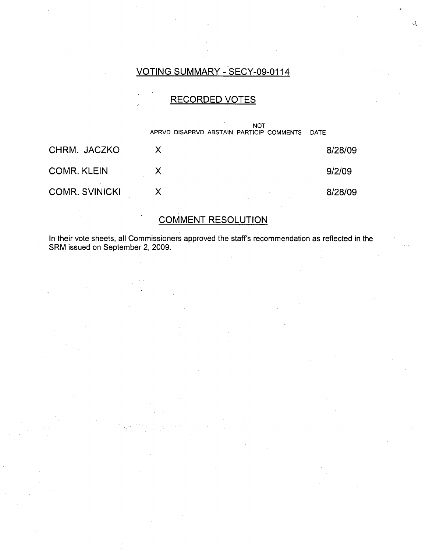### VOTING SUMMARY - SECY-09-0114

 $\prec$ 

### RECORDED VOTES

|                       | <b>NOT</b><br>APRVD DISAPRVD ABSTAIN PARTICIP COMMENTS | DATE    |
|-----------------------|--------------------------------------------------------|---------|
| CHRM. JACZKO          |                                                        | 8/28/09 |
| <b>COMR. KLEIN</b>    |                                                        | 9/2/09  |
| <b>COMR. SVINICKI</b> |                                                        | 8/28/09 |

## COMMENT RESOLUTION

In their vote sheets, all Commissioners approved the staffs recommendation as reflected in the SRM issued on September 2, 2009.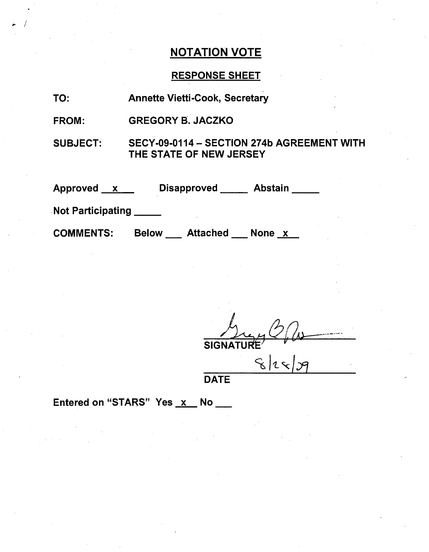# **NOTATION VOTE**

# RESPONSE SHEET

| TO:               | <b>Annette Vietti-Cook, Secretary</b>                                 |
|-------------------|-----------------------------------------------------------------------|
| <b>FROM:</b>      | <b>GREGORY B. JACZKO</b>                                              |
| <b>SUBJECT:</b>   | SECY-09-0114 - SECTION 274b AGREEMENT WITH<br>THE STATE OF NEW JERSEY |
| Approved x        | Disapproved ______ Abstain ____                                       |
| Not Participating |                                                                       |
| <b>COMMENTS:</b>  | <b>Below Attached None x</b>                                          |

SIGNATURE"

**DATE** 

Entered on "STARS" Yes x No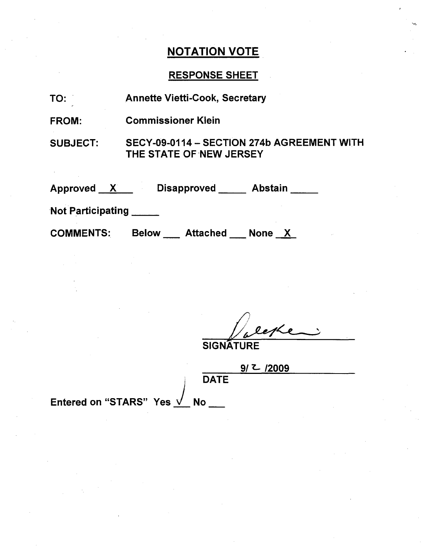## NOTATION VOTE

### RESPONSE SHEET

| TO: |  | <b>Annette Vietti-Cook, Secretary</b> |  |
|-----|--|---------------------------------------|--|
|-----|--|---------------------------------------|--|

FROM: Commissioner Klein

SUBJECT: SECY-09-0114 - SECTION 274b AGREEMENT WITH THE STATE OF NEW JERSEY

Approved <u>X D</u>isapproved Abstain

Not Participating

COMMENTS: Below \_\_\_ Attached \_\_\_ None \_X

**SIGNATURE** 

**DATE** 

|  | /2009 |  |  |
|--|-------|--|--|
|  |       |  |  |

Entered on "STARS" Yes √ No